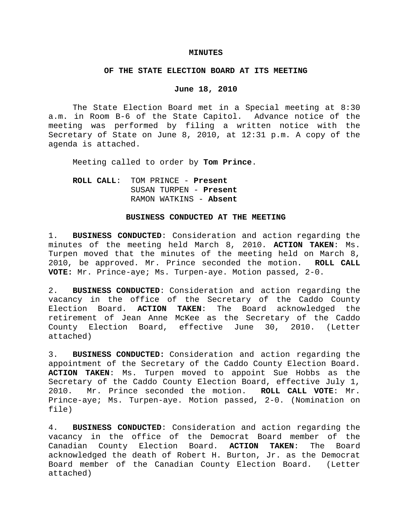## **MINUTES**

## **OF THE STATE ELECTION BOARD AT ITS MEETING**

## **June 18, 2010**

The State Election Board met in a Special meeting at 8:30 a.m. in Room B-6 of the State Capitol. Advance notice of the meeting was performed by filing a written notice with the Secretary of State on June 8, 2010, at 12:31 p.m. A copy of the agenda is attached.

Meeting called to order by **Tom Prince**.

**ROLL CALL**: TOM PRINCE - **Present** SUSAN TURPEN - **Present** RAMON WATKINS - **Absent**

## **BUSINESS CONDUCTED AT THE MEETING**

1. **BUSINESS CONDUCTED**: Consideration and action regarding the minutes of the meeting held March 8, 2010. **ACTION TAKEN**: Ms. Turpen moved that the minutes of the meeting held on March 8, 2010, be approved. Mr. Prince seconded the motion. **ROLL CALL VOTE:** Mr. Prince-aye; Ms. Turpen-aye. Motion passed, 2-0.

2. **BUSINESS CONDUCTED**: Consideration and action regarding the vacancy in the office of the Secretary of the Caddo County Election Board. **ACTION TAKEN**: The Board acknowledged the retirement of Jean Anne McKee as the Secretary of the Caddo County Election Board, effective June 30, 2010. (Letter attached)

3. **BUSINESS CONDUCTED:** Consideration and action regarding the appointment of the Secretary of the Caddo County Election Board. **ACTION TAKEN**: Ms. Turpen moved to appoint Sue Hobbs as the Secretary of the Caddo County Election Board, effective July 1, 2010. Mr. Prince seconded the motion. **ROLL CALL VOTE**: Mr. Prince-aye; Ms. Turpen-aye. Motion passed, 2-0. (Nomination on file)

4. **BUSINESS CONDUCTED**: Consideration and action regarding the vacancy in the office of the Democrat Board member of the Canadian County Election Board. **ACTION TAKEN**: The Board acknowledged the death of Robert H. Burton, Jr. as the Democrat Board member of the Canadian County Election Board. (Letter attached)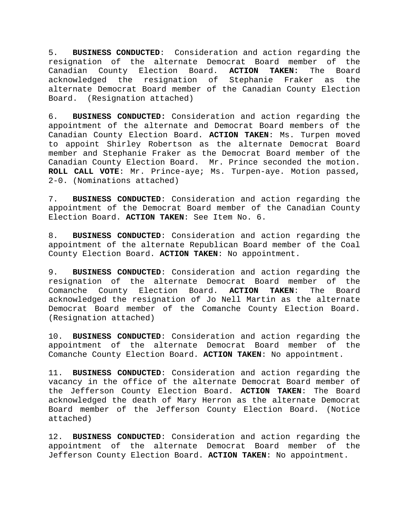5. **BUSINESS CONDUCTED**: Consideration and action regarding the resignation of the alternate Democrat Board member of the Canadian County Election Board. **ACTION TAKEN:** The Board acknowledged the resignation of Stephanie Fraker as the alternate Democrat Board member of the Canadian County Election Board. (Resignation attached)

6. **BUSINESS CONDUCTED:** Consideration and action regarding the appointment of the alternate and Democrat Board members of the Canadian County Election Board. **ACTION TAKEN**: Ms. Turpen moved to appoint Shirley Robertson as the alternate Democrat Board member and Stephanie Fraker as the Democrat Board member of the Canadian County Election Board. Mr. Prince seconded the motion. **ROLL CALL VOTE**: Mr. Prince-aye; Ms. Turpen-aye. Motion passed, 2-0. (Nominations attached)

7. **BUSINESS CONDUCTED**: Consideration and action regarding the appointment of the Democrat Board member of the Canadian County Election Board. **ACTION TAKEN**: See Item No. 6.

8. **BUSINESS CONDUCTED**: Consideration and action regarding the appointment of the alternate Republican Board member of the Coal County Election Board. **ACTION TAKEN**: No appointment.

9. **BUSINESS CONDUCTED**: Consideration and action regarding the resignation of the alternate Democrat Board member of the Comanche County Election Board. **ACTION TAKEN**: The Board acknowledged the resignation of Jo Nell Martin as the alternate Democrat Board member of the Comanche County Election Board. (Resignation attached)

10. **BUSINESS CONDUCTED**: Consideration and action regarding the appointment of the alternate Democrat Board member of the Comanche County Election Board. **ACTION TAKEN**: No appointment.

11. **BUSINESS CONDUCTED**: Consideration and action regarding the vacancy in the office of the alternate Democrat Board member of the Jefferson County Election Board. **ACTION TAKEN**: The Board acknowledged the death of Mary Herron as the alternate Democrat Board member of the Jefferson County Election Board. (Notice attached)

12. **BUSINESS CONDUCTED**: Consideration and action regarding the appointment of the alternate Democrat Board member of the Jefferson County Election Board. **ACTION TAKEN**: No appointment.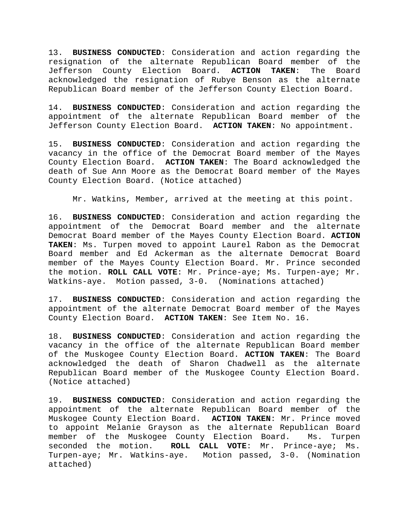13. **BUSINESS CONDUCTED**: Consideration and action regarding the resignation of the alternate Republican Board member of the Jefferson County Election Board. **ACTION TAKEN**: The Board acknowledged the resignation of Rubye Benson as the alternate Republican Board member of the Jefferson County Election Board.

14. **BUSINESS CONDUCTED**: Consideration and action regarding the appointment of the alternate Republican Board member of the Jefferson County Election Board. **ACTION TAKEN**: No appointment.

15. **BUSINESS CONDUCTED**: Consideration and action regarding the vacancy in the office of the Democrat Board member of the Mayes County Election Board. **ACTION TAKEN**: The Board acknowledged the death of Sue Ann Moore as the Democrat Board member of the Mayes County Election Board. (Notice attached)

Mr. Watkins, Member, arrived at the meeting at this point.

16. **BUSINESS CONDUCTED**: Consideration and action regarding the appointment of the Democrat Board member and the alternate Democrat Board member of the Mayes County Election Board. **ACTION TAKEN**: Ms. Turpen moved to appoint Laurel Rabon as the Democrat Board member and Ed Ackerman as the alternate Democrat Board member of the Mayes County Election Board. Mr. Prince seconded the motion. **ROLL CALL VOTE**: Mr. Prince-aye; Ms. Turpen-aye; Mr. Watkins-aye. Motion passed, 3-0. (Nominations attached)

17. **BUSINESS CONDUCTED**: Consideration and action regarding the appointment of the alternate Democrat Board member of the Mayes County Election Board. **ACTION TAKEN**: See Item No. 16.

18. **BUSINESS CONDUCTED**: Consideration and action regarding the vacancy in the office of the alternate Republican Board member of the Muskogee County Election Board. **ACTION TAKEN**: The Board acknowledged the death of Sharon Chadwell as the alternate Republican Board member of the Muskogee County Election Board. (Notice attached)

19. **BUSINESS CONDUCTED**: Consideration and action regarding the appointment of the alternate Republican Board member of the Muskogee County Election Board. **ACTION TAKEN**: Mr. Prince moved to appoint Melanie Grayson as the alternate Republican Board member of the Muskogee County Election Board. Ms. Turpen seconded the motion. **ROLL CALL VOTE**: Mr. Prince-aye; Ms. Turpen-aye; Mr. Watkins-aye. Motion passed, 3-0. (Nomination attached)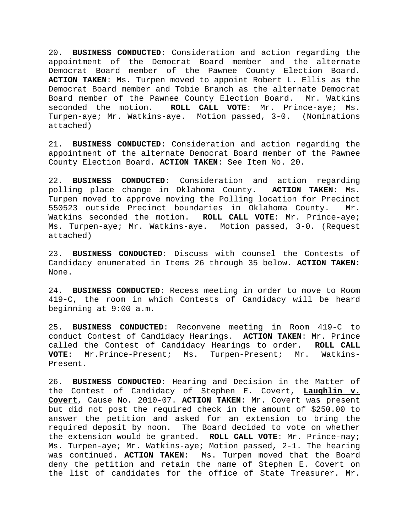20. **BUSINESS CONDUCTED**: Consideration and action regarding the appointment of the Democrat Board member and the alternate Democrat Board member of the Pawnee County Election Board. **ACTION TAKEN**: Ms. Turpen moved to appoint Robert L. Ellis as the Democrat Board member and Tobie Branch as the alternate Democrat Board member of the Pawnee County Election Board. Mr. Watkins seconded the motion. **ROLL CALL VOTE**: Mr. Prince-aye; Ms. Turpen-aye; Mr. Watkins-aye. Motion passed, 3-0. (Nominations attached)

21. **BUSINESS CONDUCTED**: Consideration and action regarding the appointment of the alternate Democrat Board member of the Pawnee County Election Board. **ACTION TAKEN**: See Item No. 20.

22. **BUSINESS CONDUCTED**: Consideration and action regarding polling place change in Oklahoma County. **ACTION TAKEN**: Ms. Turpen moved to approve moving the Polling location for Precinct 550523 outside Precinct boundaries in Oklahoma County. Mr. Watkins seconded the motion. **ROLL CALL VOTE**: Mr. Prince-aye; Ms. Turpen-aye; Mr. Watkins-aye. Motion passed, 3-0. (Request attached)

23. **BUSINESS CONDUCTED**: Discuss with counsel the Contests of Candidacy enumerated in Items 26 through 35 below. **ACTION TAKEN**: None.

24. **BUSINESS CONDUCTED**: Recess meeting in order to move to Room 419-C, the room in which Contests of Candidacy will be heard beginning at 9:00 a.m.

25. **BUSINESS CONDUCTED**: Reconvene meeting in Room 419-C to conduct Contest of Candidacy Hearings. **ACTION TAKEN**: Mr. Prince called the Contest of Candidacy Hearings to order. **ROLL CALL VOTE**: Mr.Prince-Present; Ms. Turpen-Present; Mr. Watkins-Present.

26. **BUSINESS CONDUCTED**: Hearing and Decision in the Matter of the Contest of Candidacy of Stephen E. Covert, **Laughlin v. Covert**, Cause No. 2010-07. **ACTION TAKEN**: Mr. Covert was present but did not post the required check in the amount of \$250.00 to answer the petition and asked for an extension to bring the required deposit by noon. The Board decided to vote on whether the extension would be granted. **ROLL CALL VOTE**: Mr. Prince-nay; Ms. Turpen-aye; Mr. Watkins-aye; Motion passed, 2-1. The hearing was continued. **ACTION TAKEN**: Ms. Turpen moved that the Board deny the petition and retain the name of Stephen E. Covert on the list of candidates for the office of State Treasurer. Mr.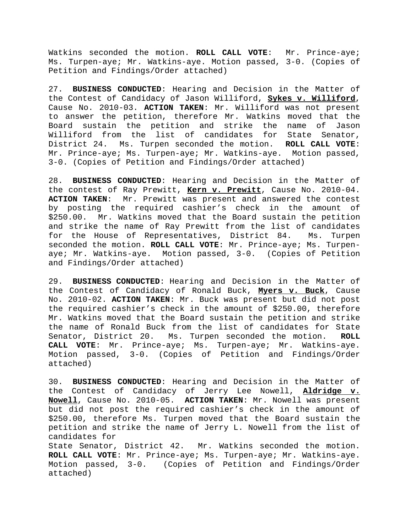Watkins seconded the motion. **ROLL CALL VOTE**: Mr. Prince-aye; Ms. Turpen-aye; Mr. Watkins-aye. Motion passed, 3-0. (Copies of Petition and Findings/Order attached)

27. **BUSINESS CONDUCTED**: Hearing and Decision in the Matter of the Contest of Candidacy of Jason Williford, **Sykes v. Williford**, Cause No. 2010-03. **ACTION TAKEN**: Mr. Williford was not present to answer the petition, therefore Mr. Watkins moved that the Board sustain the petition and strike the name of Jason Williford from the list of candidates for State Senator, District 24. Ms. Turpen seconded the motion. **ROLL CALL VOTE**: Mr. Prince-aye; Ms. Turpen-aye; Mr. Watkins-aye. Motion passed, 3-0. (Copies of Petition and Findings/Order attached)

28. **BUSINESS CONDUCTED**: Hearing and Decision in the Matter of the contest of Ray Prewitt, **Kern v. Prewitt**, Cause No. 2010-04. **ACTION TAKEN**: Mr. Prewitt was present and answered the contest by posting the required cashier's check in the amount of \$250.00. Mr. Watkins moved that the Board sustain the petition and strike the name of Ray Prewitt from the list of candidates for the House of Representatives, District 84. Ms. Turpen seconded the motion. **ROLL CALL VOTE**: Mr. Prince-aye; Ms. Turpenaye; Mr. Watkins-aye. Motion passed, 3-0. (Copies of Petition and Findings/Order attached)

29. **BUSINESS CONDUCTED**: Hearing and Decision in the Matter of the Contest of Candidacy of Ronald Buck, **Myers v. Buck**, Cause No. 2010-02. **ACTION TAKEN**: Mr. Buck was present but did not post the required cashier's check in the amount of \$250.00, therefore Mr. Watkins moved that the Board sustain the petition and strike the name of Ronald Buck from the list of candidates for State Senator, District 20. Ms. Turpen seconded the motion. **ROLL CALL VOTE**: Mr. Prince-aye; Ms. Turpen-aye; Mr. Watkins-aye. Motion passed, 3-0. (Copies of Petition and Findings/Order attached)

30. **BUSINESS CONDUCTED**: Hearing and Decision in the Matter of the Contest of Candidacy of Jerry Lee Nowell, **Aldridge v. Nowell**, Cause No. 2010-05. **ACTION TAKEN**: Mr. Nowell was present but did not post the required cashier's check in the amount of \$250.00, therefore Ms. Turpen moved that the Board sustain the petition and strike the name of Jerry L. Nowell from the list of candidates for

State Senator, District 42. Mr. Watkins seconded the motion. **ROLL CALL VOTE**: Mr. Prince-aye; Ms. Turpen-aye; Mr. Watkins-aye. Motion passed, 3-0. (Copies of Petition and Findings/Order attached)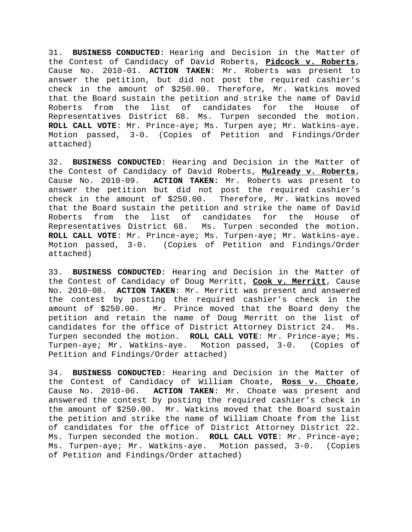31. **BUSINESS CONDUCTED**: Hearing and Decision in the Matter of the Contest of Candidacy of David Roberts, **Pidcock v. Roberts**, Cause No. 2010-01. **ACTION TAKEN**: Mr. Roberts was present to answer the petition, but did not post the required cashier's check in the amount of \$250.00. Therefore, Mr. Watkins moved that the Board sustain the petition and strike the name of David Roberts from the list of candidates for the House of Representatives District 68. Ms. Turpen seconded the motion. **ROLL CALL VOTE**: Mr. Prince-aye; Ms. Turpen aye; Mr. Watkins-aye. Motion passed, 3-0. (Copies of Petition and Findings/Order attached)

32. **BUSINESS CONDUCTED**: Hearing and Decision in the Matter of the Contest of Candidacy of David Roberts, **Mulready v. Roberts**, Cause No. 2010-09. **ACTION TAKEN:** Mr. Roberts was present to answer the petition but did not post the required cashier's check in the amount of \$250.00. Therefore, Mr. Watkins moved that the Board sustain the petition and strike the name of David Roberts from the list of candidates for the House of Representatives District 68. Ms. Turpen seconded the motion. **ROLL CALL VOTE**: Mr. Prince-aye; Ms. Turpen-aye; Mr. Watkins-aye. Motion passed, 3-0. (Copies of Petition and Findings/Order attached)

33. **BUSINESS CONDUCTED**: Hearing and Decision in the Matter of the Contest of Candidacy of Doug Merritt, **Cook v. Merritt**, Cause No. 2010-08. **ACTION TAKEN**: Mr. Merritt was present and answered the contest by posting the required cashier's check in the amount of \$250.00. Mr. Prince moved that the Board deny the petition and retain the name of Doug Merritt on the list of candidates for the office of District Attorney District 24. Ms. Turpen seconded the motion. **ROLL CALL VOTE**: Mr. Prince-aye; Ms. Turpen-aye; Mr. Watkins-aye. Motion passed, 3-0. (Copies of Petition and Findings/Order attached)

34. **BUSINESS CONDUCTED**: Hearing and Decision in the Matter of the Contest of Candidacy of William Choate, **Ross v. Choate**, Cause No. 2010-06. **ACTION TAKEN**: Mr. Choate was present and answered the contest by posting the required cashier's check in the amount of \$250.00. Mr. Watkins moved that the Board sustain the petition and strike the name of William Choate from the list of candidates for the office of District Attorney District 22. Ms. Turpen seconded the motion. **ROLL CALL VOTE**: Mr. Prince-aye; Ms. Turpen-aye; Mr. Watkins-aye. Motion passed, 3-0. (Copies of Petition and Findings/Order attached)